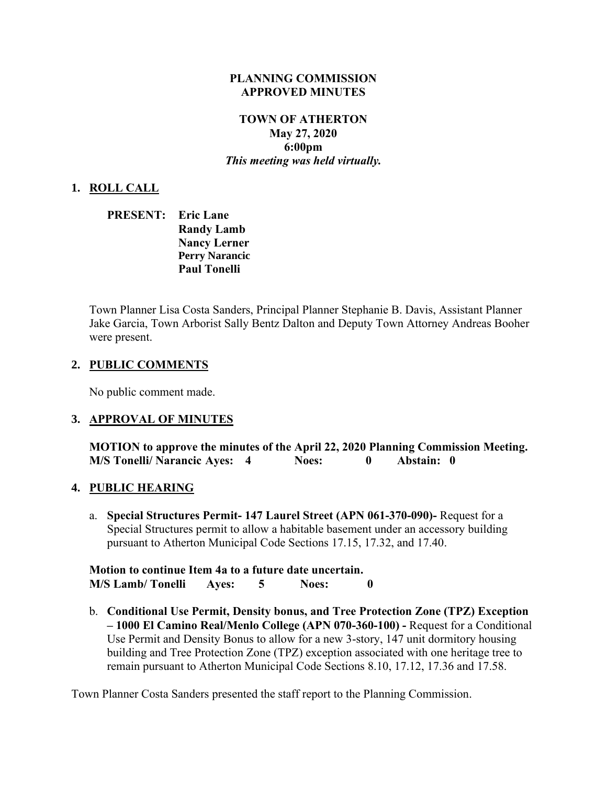#### **PLANNING COMMISSION APPROVED MINUTES**

### **TOWN OF ATHERTON May 27, 2020 6:00pm** *This meeting was held virtually.*

#### **1. ROLL CALL**

| <b>Eric Lane</b>      |
|-----------------------|
| <b>Randy Lamb</b>     |
| <b>Nancy Lerner</b>   |
| <b>Perry Narancic</b> |
| <b>Paul Tonelli</b>   |
|                       |

Town Planner Lisa Costa Sanders, Principal Planner Stephanie B. Davis, Assistant Planner Jake Garcia, Town Arborist Sally Bentz Dalton and Deputy Town Attorney Andreas Booher were present.

#### **2. PUBLIC COMMENTS**

No public comment made.

#### **3. APPROVAL OF MINUTES**

**MOTION to approve the minutes of the April 22, 2020 Planning Commission Meeting. M/S Tonelli/ Narancic Ayes: 4 Noes: 0 Abstain: 0** 

#### **4. PUBLIC HEARING**

a. **Special Structures Permit- 147 Laurel Street (APN 061-370-090)-** Request for a Special Structures permit to allow a habitable basement under an accessory building pursuant to Atherton Municipal Code Sections 17.15, 17.32, and 17.40.

**Motion to continue Item 4a to a future date uncertain. M/S Lamb/ Tonelli Ayes: 5 Noes: 0** 

b. **Conditional Use Permit, Density bonus, and Tree Protection Zone (TPZ) Exception – 1000 El Camino Real/Menlo College (APN 070-360-100) -** Request for a Conditional Use Permit and Density Bonus to allow for a new 3-story, 147 unit dormitory housing building and Tree Protection Zone (TPZ) exception associated with one heritage tree to remain pursuant to Atherton Municipal Code Sections 8.10, 17.12, 17.36 and 17.58.

Town Planner Costa Sanders presented the staff report to the Planning Commission.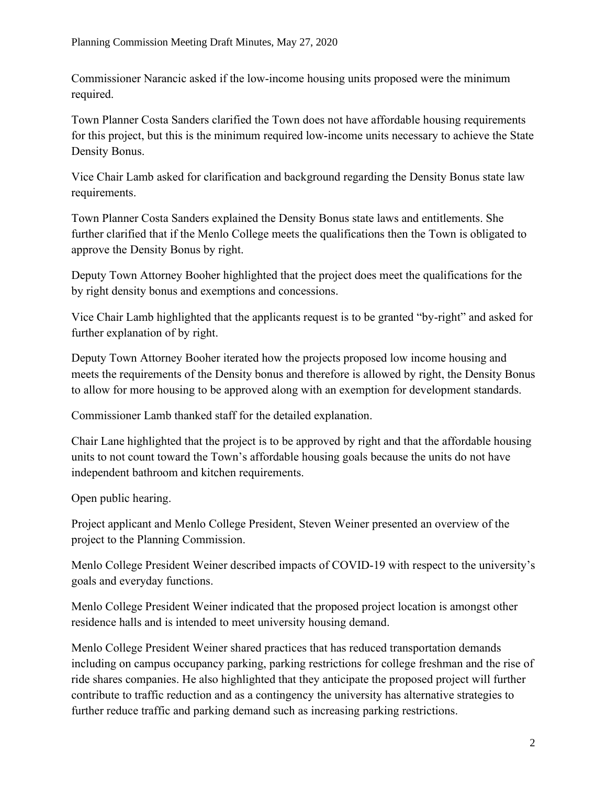Commissioner Narancic asked if the low-income housing units proposed were the minimum required.

Town Planner Costa Sanders clarified the Town does not have affordable housing requirements for this project, but this is the minimum required low-income units necessary to achieve the State Density Bonus.

Vice Chair Lamb asked for clarification and background regarding the Density Bonus state law requirements.

Town Planner Costa Sanders explained the Density Bonus state laws and entitlements. She further clarified that if the Menlo College meets the qualifications then the Town is obligated to approve the Density Bonus by right.

Deputy Town Attorney Booher highlighted that the project does meet the qualifications for the by right density bonus and exemptions and concessions.

Vice Chair Lamb highlighted that the applicants request is to be granted "by-right" and asked for further explanation of by right.

Deputy Town Attorney Booher iterated how the projects proposed low income housing and meets the requirements of the Density bonus and therefore is allowed by right, the Density Bonus to allow for more housing to be approved along with an exemption for development standards.

Commissioner Lamb thanked staff for the detailed explanation.

Chair Lane highlighted that the project is to be approved by right and that the affordable housing units to not count toward the Town's affordable housing goals because the units do not have independent bathroom and kitchen requirements.

Open public hearing.

Project applicant and Menlo College President, Steven Weiner presented an overview of the project to the Planning Commission.

Menlo College President Weiner described impacts of COVID-19 with respect to the university's goals and everyday functions.

Menlo College President Weiner indicated that the proposed project location is amongst other residence halls and is intended to meet university housing demand.

Menlo College President Weiner shared practices that has reduced transportation demands including on campus occupancy parking, parking restrictions for college freshman and the rise of ride shares companies. He also highlighted that they anticipate the proposed project will further contribute to traffic reduction and as a contingency the university has alternative strategies to further reduce traffic and parking demand such as increasing parking restrictions.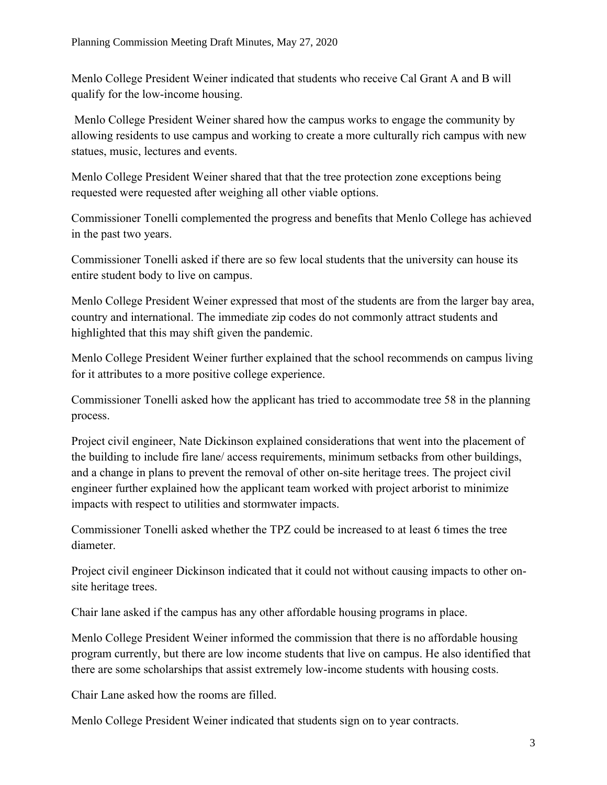Menlo College President Weiner indicated that students who receive Cal Grant A and B will qualify for the low-income housing.

Menlo College President Weiner shared how the campus works to engage the community by allowing residents to use campus and working to create a more culturally rich campus with new statues, music, lectures and events.

Menlo College President Weiner shared that that the tree protection zone exceptions being requested were requested after weighing all other viable options.

Commissioner Tonelli complemented the progress and benefits that Menlo College has achieved in the past two years.

Commissioner Tonelli asked if there are so few local students that the university can house its entire student body to live on campus.

Menlo College President Weiner expressed that most of the students are from the larger bay area, country and international. The immediate zip codes do not commonly attract students and highlighted that this may shift given the pandemic.

Menlo College President Weiner further explained that the school recommends on campus living for it attributes to a more positive college experience.

Commissioner Tonelli asked how the applicant has tried to accommodate tree 58 in the planning process.

Project civil engineer, Nate Dickinson explained considerations that went into the placement of the building to include fire lane/ access requirements, minimum setbacks from other buildings, and a change in plans to prevent the removal of other on-site heritage trees. The project civil engineer further explained how the applicant team worked with project arborist to minimize impacts with respect to utilities and stormwater impacts.

Commissioner Tonelli asked whether the TPZ could be increased to at least 6 times the tree diameter.

Project civil engineer Dickinson indicated that it could not without causing impacts to other onsite heritage trees.

Chair lane asked if the campus has any other affordable housing programs in place.

Menlo College President Weiner informed the commission that there is no affordable housing program currently, but there are low income students that live on campus. He also identified that there are some scholarships that assist extremely low-income students with housing costs.

Chair Lane asked how the rooms are filled.

Menlo College President Weiner indicated that students sign on to year contracts.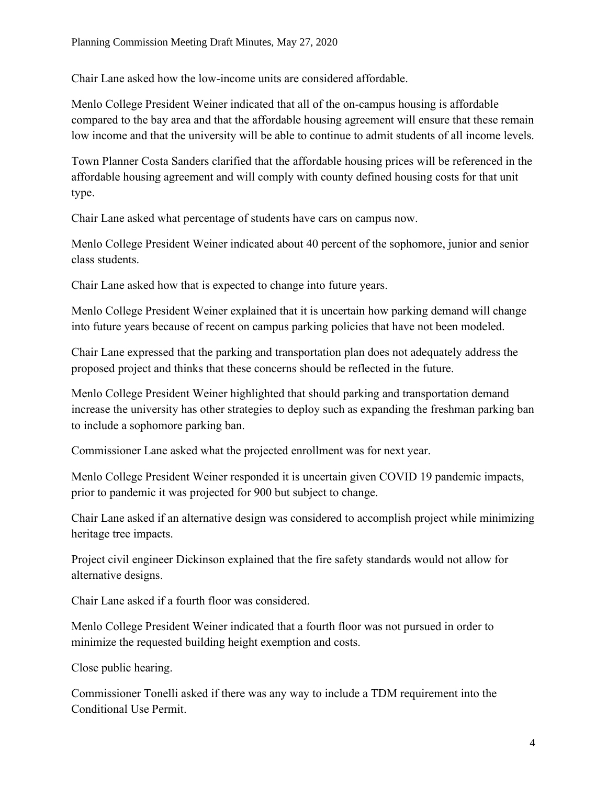Chair Lane asked how the low-income units are considered affordable.

Menlo College President Weiner indicated that all of the on-campus housing is affordable compared to the bay area and that the affordable housing agreement will ensure that these remain low income and that the university will be able to continue to admit students of all income levels.

Town Planner Costa Sanders clarified that the affordable housing prices will be referenced in the affordable housing agreement and will comply with county defined housing costs for that unit type.

Chair Lane asked what percentage of students have cars on campus now.

Menlo College President Weiner indicated about 40 percent of the sophomore, junior and senior class students.

Chair Lane asked how that is expected to change into future years.

Menlo College President Weiner explained that it is uncertain how parking demand will change into future years because of recent on campus parking policies that have not been modeled.

Chair Lane expressed that the parking and transportation plan does not adequately address the proposed project and thinks that these concerns should be reflected in the future.

Menlo College President Weiner highlighted that should parking and transportation demand increase the university has other strategies to deploy such as expanding the freshman parking ban to include a sophomore parking ban.

Commissioner Lane asked what the projected enrollment was for next year.

Menlo College President Weiner responded it is uncertain given COVID 19 pandemic impacts, prior to pandemic it was projected for 900 but subject to change.

Chair Lane asked if an alternative design was considered to accomplish project while minimizing heritage tree impacts.

Project civil engineer Dickinson explained that the fire safety standards would not allow for alternative designs.

Chair Lane asked if a fourth floor was considered.

Menlo College President Weiner indicated that a fourth floor was not pursued in order to minimize the requested building height exemption and costs.

Close public hearing.

Commissioner Tonelli asked if there was any way to include a TDM requirement into the Conditional Use Permit.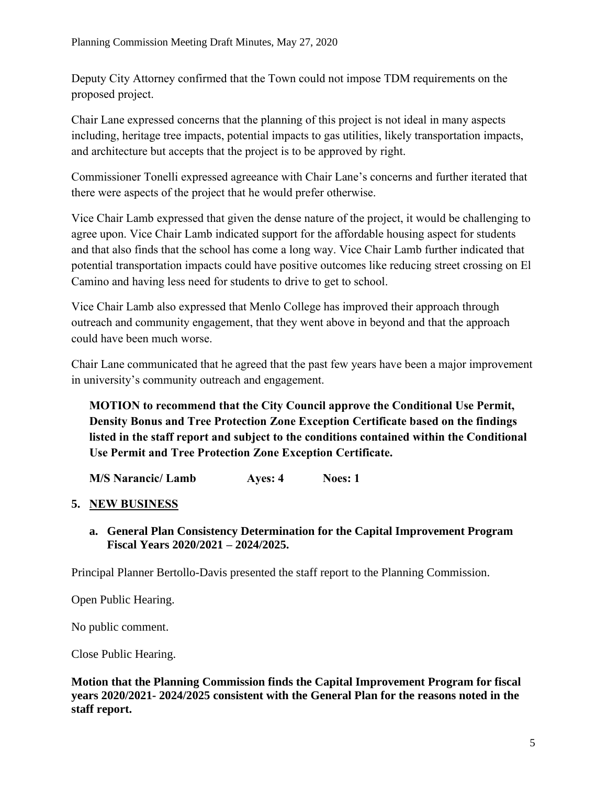Deputy City Attorney confirmed that the Town could not impose TDM requirements on the proposed project.

Chair Lane expressed concerns that the planning of this project is not ideal in many aspects including, heritage tree impacts, potential impacts to gas utilities, likely transportation impacts, and architecture but accepts that the project is to be approved by right.

Commissioner Tonelli expressed agreeance with Chair Lane's concerns and further iterated that there were aspects of the project that he would prefer otherwise.

Vice Chair Lamb expressed that given the dense nature of the project, it would be challenging to agree upon. Vice Chair Lamb indicated support for the affordable housing aspect for students and that also finds that the school has come a long way. Vice Chair Lamb further indicated that potential transportation impacts could have positive outcomes like reducing street crossing on El Camino and having less need for students to drive to get to school.

Vice Chair Lamb also expressed that Menlo College has improved their approach through outreach and community engagement, that they went above in beyond and that the approach could have been much worse.

Chair Lane communicated that he agreed that the past few years have been a major improvement in university's community outreach and engagement.

**MOTION to recommend that the City Council approve the Conditional Use Permit, Density Bonus and Tree Protection Zone Exception Certificate based on the findings listed in the staff report and subject to the conditions contained within the Conditional Use Permit and Tree Protection Zone Exception Certificate.**

**M/S Narancic/ Lamb Ayes: 4 Noes: 1** 

## **5. NEW BUSINESS**

**a. General Plan Consistency Determination for the Capital Improvement Program Fiscal Years 2020/2021 – 2024/2025.** 

Principal Planner Bertollo-Davis presented the staff report to the Planning Commission.

Open Public Hearing.

No public comment.

Close Public Hearing.

**Motion that the Planning Commission finds the Capital Improvement Program for fiscal years 2020/2021- 2024/2025 consistent with the General Plan for the reasons noted in the staff report.**